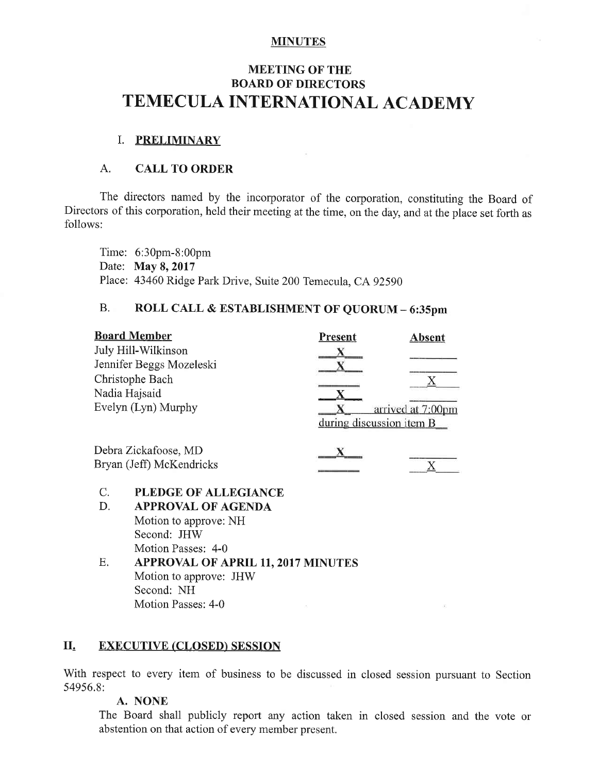#### **MINUTES**

# **MEETING OF THE BOARD OF DIRECTORS** TEMECULA INTERNATIONAL ACADEMY

## I. PRELIMINARY

## A. CALL TO ORDER

The directors named by the incorporator of the corporation, constituting the Board of Directors of this corporation, held their meeting at the time, on the day, and at the place set forth as follows:

Time: 6:30pm-8:00pm Date: May 8, 2017 Place: 43460 Ridge Park Drive, Suite 200 Temecula, CA 92590

## B. ROLL CALL & ESTABLISHMENT OF QUORUM - 6:35pm

|                          | <b>Board Member</b>                       | <b>Present</b> | <b>Absent</b>            |
|--------------------------|-------------------------------------------|----------------|--------------------------|
|                          | July Hill-Wilkinson                       |                |                          |
| Jennifer Beggs Mozeleski |                                           |                |                          |
| Christophe Bach          |                                           |                |                          |
| Nadia Hajsaid            |                                           |                |                          |
| Evelyn (Lyn) Murphy      |                                           |                | arrived at 7:00pm        |
|                          |                                           |                | during discussion item B |
| Debra Zickafoose, MD     |                                           |                |                          |
| Bryan (Jeff) McKendricks |                                           |                |                          |
| C.                       | PLEDGE OF ALLEGIANCE                      |                |                          |
| D.                       | <b>APPROVAL OF AGENDA</b>                 |                |                          |
|                          | Motion to approve: NH                     |                |                          |
|                          | Second: JHW                               |                |                          |
|                          | Motion Passes: 4-0                        |                |                          |
| Ε.                       | <b>APPROVAL OF APRIL 11, 2017 MINUTES</b> |                |                          |
|                          | Motion to approve:<br>THW                 |                |                          |

Motion to approve: JHW Second: NH Motion Passes: 4-0

## II. EXECUTIVE (CLOSED) SESSION

With respect to every item of business to be discussed in closed session pursuant to Section 54956,8:

#### A. NONE

The Board shall publicly report any action taken in closed session and the vote or abstention on that action of every member present.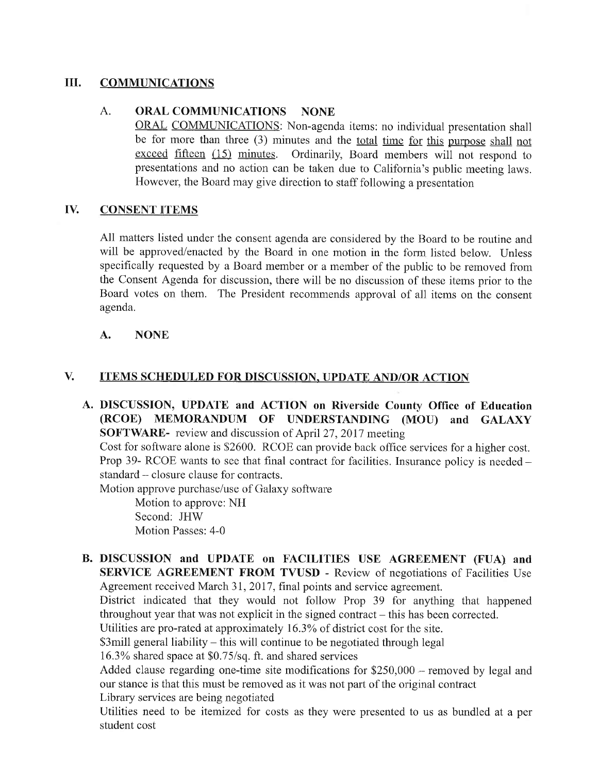## III. COMMUNICATIONS

## A. ORAL COMMUNICATIONS NONE

ORAL COMMUNICATIONS: Non-agenda items: no individual presentation shall be for more than three  $(3)$  minutes and the total time for this purpose shall not exceed fifteen (15) minutes. Ordinarily, Board members will not respond to presentations and no action can be taken due to California's public meeting laws. However, the Board may give direction to staff following a presentation

## IV. CONSENT ITEMS

All matters listed under the consent agenda are considered by the Board to be routine and will be approved/enacted by the Board in one motion in the form listed below. Unless specifically requested by a Board member or a member of the public to be removed from the Consent Agenda for discussion, there will be no discussion of these items prior to the Board votes on them. The President recommends approval of all items on the consent agenda.

## A. NONE

## V. ITEMS SCHEDULED FOR DISCUSSION, UPDATE AND/OR ACTION

A. DISCUSSION, UPDATE and ACTION on Riverside County Office of Education (RCOE) MEMORANDUM OF UNDERSTANDING (MOU) and GALAXY SOFTWARE- review and discussion of April 27, 2017 meeting

Cost for software alone is \$2600. RCOE can provide back office services for a higher cost. Prop 39- RCOE wants to see that final contract for facilities. Insurance policy is needed  $$ standard – closure clause for contracts.

Motion approve purchase/use of Galaxy software

Motion to approve: NH Second: JHW Motion Passes: 4-0

B. DISCUSSION and UPDATE on FACILITIES USE AGREEMENT (FUA) and SERVICE AGREEMENT FROM TVUSD - Review of negotiations of Facilities Use Agreement received March 31, 2017, final points and service agreement.

District indicated that they would not follow Prop 39 for anything that happened throughout year that was not explicit in the signed contract  $-$  this has been corrected.

Utilities are pro-rated at approximately 16.3% of district cost for the site.

\$3mill general liability – this will continue to be negotiated through legal

 $16.3\%$  shared space at \$0.75/sq. ft. and shared services

Added clause regarding one-time site modifications for  $$250,000$  - removed by legal and our stance is that this must be removed as it was not part of the original contract Library services are being negotiated

Utilities need to be itemized for costs as they were presented to us as bundled at a per student cost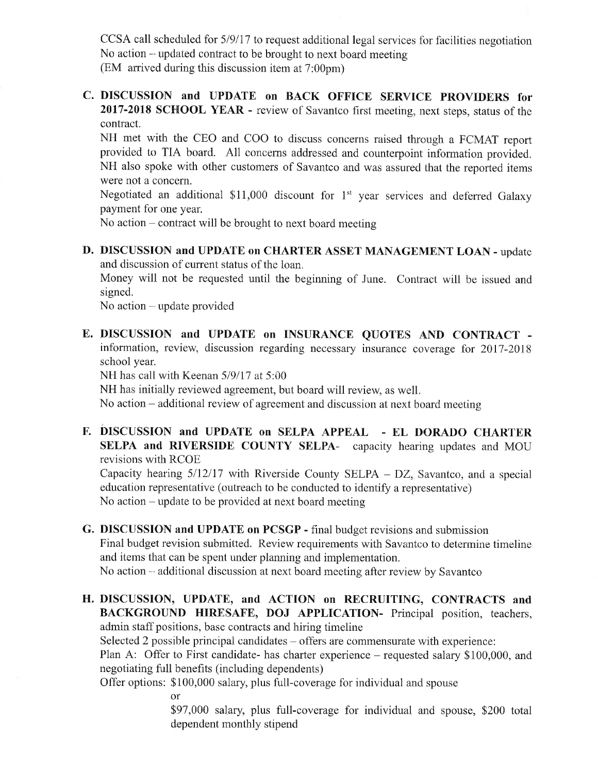CCSA call scheduled for 5/9/17 to request additional legal services for facilities negotiation No action – updated contract to be brought to next board meeting (EM arrived during this discussion item at 7:00pm)

C. DISCUSSION and UPDATE on BACK OFFICE SERVICE PROVIDERS for 2017-2018 SCHOOL YEAR - review of Savantco first meeting, next steps, status of the contract.

NH met with the CEO and COO to discuss concerns raised through a FCMAT report provided to TIA board. All concems addressed and counterpoint information provided. NH also spoke with other customers of Savantco and was assured that the reported items were not a concern.

Negotiated an additional \$11,000 discount for  $1<sup>st</sup>$  year services and deferred Galaxy payment for one year.

No action  $-$  contract will be brought to next board meeting

D. DISCUSSION and UPDATE on CHARTER ASSET MANAGEMENT LOAN - update and discussion of current status of the loan.

Money will not be requested until the beginning of June. Contract will be issued and signed.

No action - update provided

E. DISCUSSION and UPDATE on INSURANCE QUOTES AND CONTRACT information, review, discussion regarding necessary insurance coverage for 2017-2018 school year.

NH has call with Keenan  $5/9/17$  at  $5:00$ 

NH has initially reviewed agreement, but board will review, as well.

No action  $-$  additional review of agreement and discussion at next board meeting.

F. DISCUSSION and UPDATE on SELPA APPEAL - EL DORADO CHARTER SELPA and RIVERSIDE COUNTY SELPA- capacity hearing updates and MOU revisions with RCOE

Capacity hearing  $5/12/17$  with Riverside County SELPA - DZ, Savantco, and a special education representative (outreach to be conducted to identify a representative) No action  $-\text{update}$  to be provided at next board meeting

- G. DISCUSSION and UPDATE on PCSGP final budget revisions and submission Final budget revision submitted. Review requirements with Savantco to determine timeline and items that can be spent under planning and implementation. No action  $-$  additional discussion at next board meeting after review by Savantco
- H. DISCUSSION, UPDATE, and ACTION on RECRUITING, CONTRACTS and BACKGROUND HIRESAFE, DOJ APPLICATION- Principal position, teachers, admin staff positions, base contracts and hiring timeline

Selected 2 possible principal candidates  $-$  offers are commensurate with experience:

Plan A: Offer to First candidate- has charter experience - requested salary \$100,000, and negotiating full benefits (including dependents)

Offer options: \$100,000 salary, plus full-coverage for individual and spouse

or

\$97,000 salary, plus full-coverage for individual and spouse, \$200 total dependent monthly stipend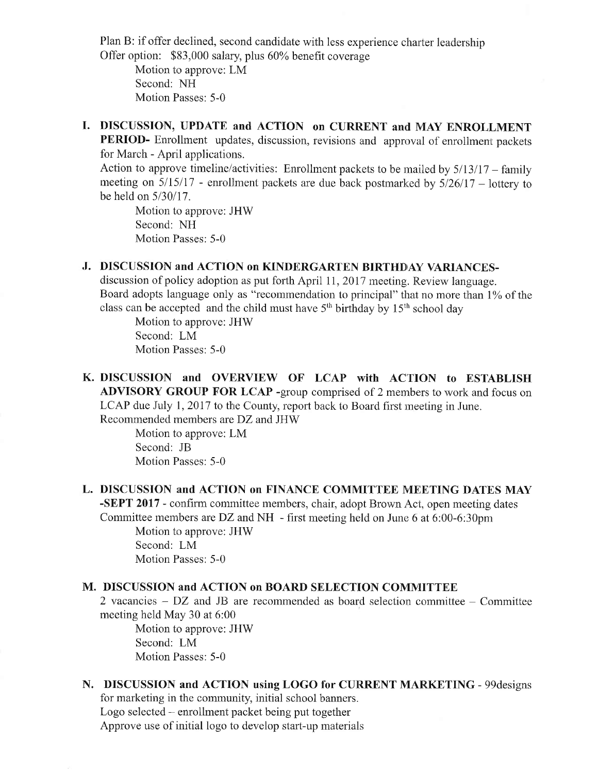Plan B: if offer declined, second candidate with less experience charter leadership Offer option: \$83,000 salary, plus 60% benefit coverage

Motion to approve: LM Second: NH Motion Passes: 5-0

I. DISCUSSION, UPDATE and ACTION on CURRENT and MAY ENROLLMENT PERIOD- Enrollment updates, discussion, revisions and approval of enrollment packets for March - April applications.

Action to approve timeline/activities: Enrollment packets to be mailed by  $5/13/17$  – family meeting on  $5/15/17$  - enrollment packets are due back postmarked by  $5/26/17$  – lottery to be held on 5/30/17.

Motion to approve: JHW Second: NH Motion Passes: 5-0

## J. DISCUSSION and ACTION on KINDERGARTEN BIRTHDAY VARIANCES-

discussion of policy adoption as put forth April 11, 2017 meeting. Review language. Board adopts language only as "recommendation to principal" that no more than 1% of the class can be accepted and the child must have  $5<sup>th</sup>$  birthday by  $15<sup>th</sup>$  school day

Motion to approve: JHW Second: LM Motion Passes: 5-0

K. DISCUSSION and OVERVIEW OF LCAP with ACTION to ESTABLISH ADVISORY GROUP FOR LCAP -group comprised of 2 members to work and focus on LCAP due July 1, 2017 to the County, report back to Board first meeting in June. Recommended members are DZ and JHW

> Motion to approve: LM Second: JB Motion Passes: 5-0

L. DISCUSSION and ACTION on FINANCE COMMITTEE MEETING DATES MAY -SEPT 2017 - confirm committee members, chair, adopt Brown Act, open meeting dates Committee members are DZ and NH  $\,$ - first meeting held on June 6 at 6:00-6:30pm

Motion to approve: JHW Second: LM Motion Passes: 5-0

#### M. DISCUSSION and ACTION on BOARD SELECTION COMMITTEE

2 vacancies  $-$  DZ and JB are recommended as board selection committee  $-$  Committee meeting held May 30 at 6:00

Motion to approve: JHW Second: LM Motion Passes: 5-0

#### N. DISCUSSION and ACTION using LOGO for CURRENT MARKETING - 99designs

for marketing in the community, initial school banners. Logo selected – enrollment packet being put together Approve use of initial logo to develop start-up materials